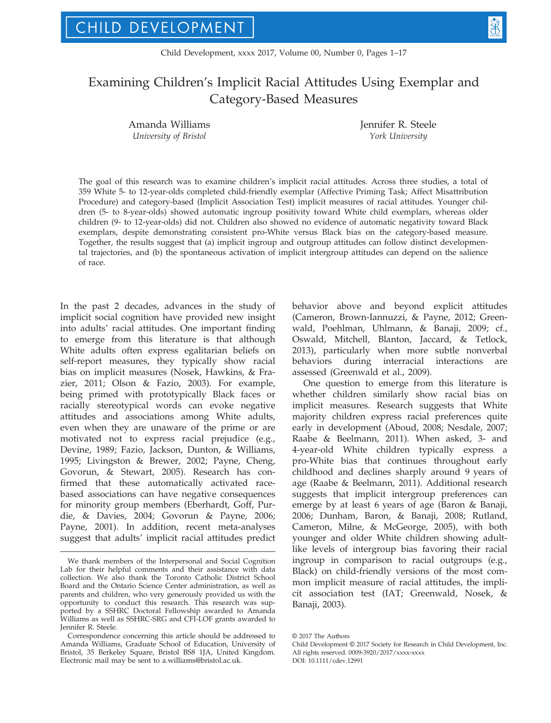# Examining Children's Implicit Racial Attitudes Using Exemplar and Category-Based Measures

Amanda Williams University of Bristol

Jennifer R. Steele York University

The goal of this research was to examine children's implicit racial attitudes. Across three studies, a total of 359 White 5- to 12-year-olds completed child-friendly exemplar (Affective Priming Task; Affect Misattribution Procedure) and category-based (Implicit Association Test) implicit measures of racial attitudes. Younger children (5- to 8-year-olds) showed automatic ingroup positivity toward White child exemplars, whereas older children (9- to 12-year-olds) did not. Children also showed no evidence of automatic negativity toward Black exemplars, despite demonstrating consistent pro-White versus Black bias on the category-based measure. Together, the results suggest that (a) implicit ingroup and outgroup attitudes can follow distinct developmental trajectories, and (b) the spontaneous activation of implicit intergroup attitudes can depend on the salience of race.

In the past 2 decades, advances in the study of implicit social cognition have provided new insight into adults' racial attitudes. One important finding to emerge from this literature is that although White adults often express egalitarian beliefs on self-report measures, they typically show racial bias on implicit measures (Nosek, Hawkins, & Frazier, 2011; Olson & Fazio, 2003). For example, being primed with prototypically Black faces or racially stereotypical words can evoke negative attitudes and associations among White adults, even when they are unaware of the prime or are motivated not to express racial prejudice (e.g., Devine, 1989; Fazio, Jackson, Dunton, & Williams, 1995; Livingston & Brewer, 2002; Payne, Cheng, Govorun, & Stewart, 2005). Research has confirmed that these automatically activated racebased associations can have negative consequences for minority group members (Eberhardt, Goff, Purdie, & Davies, 2004; Govorun & Payne, 2006; Payne, 2001). In addition, recent meta-analyses suggest that adults' implicit racial attitudes predict behavior above and beyond explicit attitudes (Cameron, Brown-Iannuzzi, & Payne, 2012; Greenwald, Poehlman, Uhlmann, & Banaji, 2009; cf., Oswald, Mitchell, Blanton, Jaccard, & Tetlock, 2013), particularly when more subtle nonverbal behaviors during interracial interactions are assessed (Greenwald et al., 2009).

One question to emerge from this literature is whether children similarly show racial bias on implicit measures. Research suggests that White majority children express racial preferences quite early in development (Aboud, 2008; Nesdale, 2007; Raabe & Beelmann, 2011). When asked, 3- and 4-year-old White children typically express a pro-White bias that continues throughout early childhood and declines sharply around 9 years of age (Raabe & Beelmann, 2011). Additional research suggests that implicit intergroup preferences can emerge by at least 6 years of age (Baron & Banaji, 2006; Dunham, Baron, & Banaji, 2008; Rutland, Cameron, Milne, & McGeorge, 2005), with both younger and older White children showing adultlike levels of intergroup bias favoring their racial ingroup in comparison to racial outgroups (e.g., Black) on child-friendly versions of the most common implicit measure of racial attitudes, the implicit association test (IAT; Greenwald, Nosek, & Banaji, 2003).

We thank members of the Interpersonal and Social Cognition Lab for their helpful comments and their assistance with data collection. We also thank the Toronto Catholic District School Board and the Ontario Science Center administration, as well as parents and children, who very generously provided us with the opportunity to conduct this research. This research was supported by a SSHRC Doctoral Fellowship awarded to Amanda Williams as well as SSHRC-SRG and CFI-LOF grants awarded to Jennifer R. Steele.

Correspondence concerning this article should be addressed to Amanda Williams, Graduate School of Education, University of Bristol, 35 Berkeley Square, Bristol BS8 1JA, United Kingdom. Electronic mail may be sent to a.williams@bristol.ac.uk.

<sup>©</sup> 2017 The Authors

Child Development © 2017 Society for Research in Child Development, Inc. All rights reserved. 0009-3920/2017/xxxx-xxxx DOI: 10.1111/cdev.12991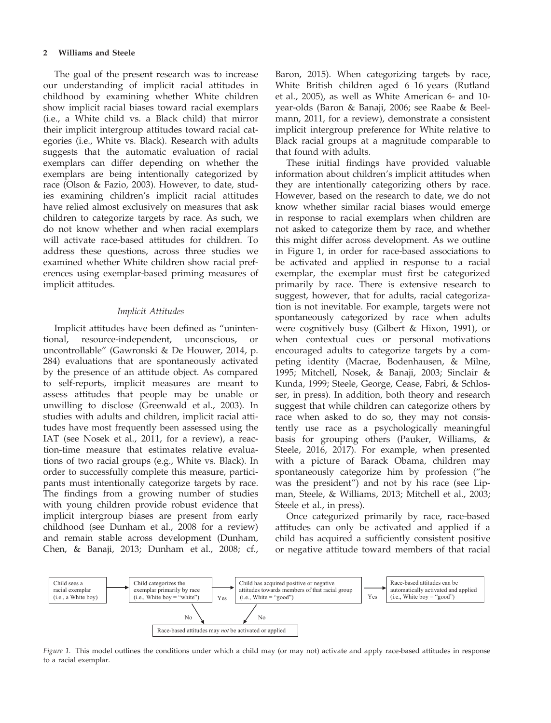## 2 Williams and Steele

The goal of the present research was to increase our understanding of implicit racial attitudes in childhood by examining whether White children show implicit racial biases toward racial exemplars (i.e., a White child vs. a Black child) that mirror their implicit intergroup attitudes toward racial categories (i.e., White vs. Black). Research with adults suggests that the automatic evaluation of racial exemplars can differ depending on whether the exemplars are being intentionally categorized by race (Olson & Fazio, 2003). However, to date, studies examining children's implicit racial attitudes have relied almost exclusively on measures that ask children to categorize targets by race. As such, we do not know whether and when racial exemplars will activate race-based attitudes for children. To address these questions, across three studies we examined whether White children show racial preferences using exemplar-based priming measures of implicit attitudes.

# Implicit Attitudes

Implicit attitudes have been defined as "unintentional, resource-independent, unconscious, uncontrollable" (Gawronski & De Houwer, 2014, p. 284) evaluations that are spontaneously activated by the presence of an attitude object. As compared to self-reports, implicit measures are meant to assess attitudes that people may be unable or unwilling to disclose (Greenwald et al., 2003). In studies with adults and children, implicit racial attitudes have most frequently been assessed using the IAT (see Nosek et al., 2011, for a review), a reaction-time measure that estimates relative evaluations of two racial groups (e.g., White vs. Black). In order to successfully complete this measure, participants must intentionally categorize targets by race. The findings from a growing number of studies with young children provide robust evidence that implicit intergroup biases are present from early childhood (see Dunham et al., 2008 for a review) and remain stable across development (Dunham, Chen, & Banaji, 2013; Dunham et al., 2008; cf.,

Baron, 2015). When categorizing targets by race, White British children aged 6–16 years (Rutland et al., 2005), as well as White American 6- and 10 year-olds (Baron & Banaji, 2006; see Raabe & Beelmann, 2011, for a review), demonstrate a consistent implicit intergroup preference for White relative to Black racial groups at a magnitude comparable to that found with adults.

These initial findings have provided valuable information about children's implicit attitudes when they are intentionally categorizing others by race. However, based on the research to date, we do not know whether similar racial biases would emerge in response to racial exemplars when children are not asked to categorize them by race, and whether this might differ across development. As we outline in Figure 1, in order for race-based associations to be activated and applied in response to a racial exemplar, the exemplar must first be categorized primarily by race. There is extensive research to suggest, however, that for adults, racial categorization is not inevitable. For example, targets were not spontaneously categorized by race when adults were cognitively busy (Gilbert & Hixon, 1991), or when contextual cues or personal motivations encouraged adults to categorize targets by a competing identity (Macrae, Bodenhausen, & Milne, 1995; Mitchell, Nosek, & Banaji, 2003; Sinclair & Kunda, 1999; Steele, George, Cease, Fabri, & Schlosser, in press). In addition, both theory and research suggest that while children can categorize others by race when asked to do so, they may not consistently use race as a psychologically meaningful basis for grouping others (Pauker, Williams, & Steele, 2016, 2017). For example, when presented with a picture of Barack Obama, children may spontaneously categorize him by profession ("he was the president") and not by his race (see Lipman, Steele, & Williams, 2013; Mitchell et al., 2003; Steele et al., in press).

Once categorized primarily by race, race-based attitudes can only be activated and applied if a child has acquired a sufficiently consistent positive or negative attitude toward members of that racial



Figure 1. This model outlines the conditions under which a child may (or may not) activate and apply race-based attitudes in response to a racial exemplar.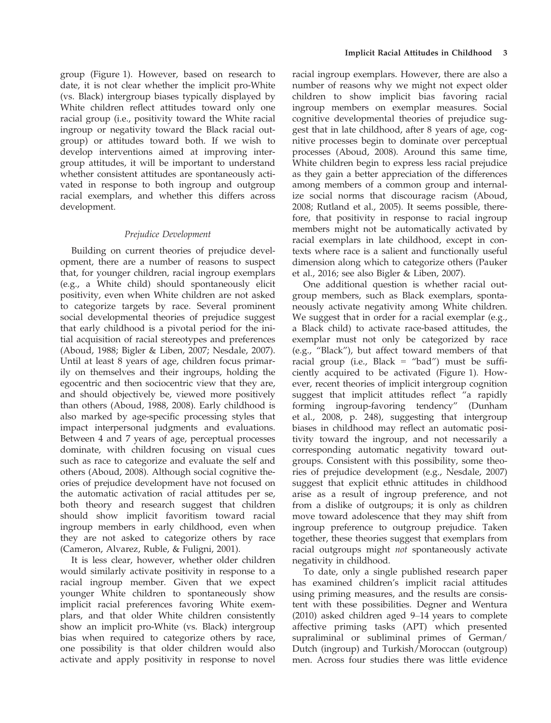group (Figure 1). However, based on research to date, it is not clear whether the implicit pro-White (vs. Black) intergroup biases typically displayed by White children reflect attitudes toward only one racial group (i.e., positivity toward the White racial ingroup or negativity toward the Black racial outgroup) or attitudes toward both. If we wish to develop interventions aimed at improving intergroup attitudes, it will be important to understand whether consistent attitudes are spontaneously activated in response to both ingroup and outgroup racial exemplars, and whether this differs across development.

# Prejudice Development

Building on current theories of prejudice development, there are a number of reasons to suspect that, for younger children, racial ingroup exemplars (e.g., a White child) should spontaneously elicit positivity, even when White children are not asked to categorize targets by race. Several prominent social developmental theories of prejudice suggest that early childhood is a pivotal period for the initial acquisition of racial stereotypes and preferences (Aboud, 1988; Bigler & Liben, 2007; Nesdale, 2007). Until at least 8 years of age, children focus primarily on themselves and their ingroups, holding the egocentric and then sociocentric view that they are, and should objectively be, viewed more positively than others (Aboud, 1988, 2008). Early childhood is also marked by age-specific processing styles that impact interpersonal judgments and evaluations. Between 4 and 7 years of age, perceptual processes dominate, with children focusing on visual cues such as race to categorize and evaluate the self and others (Aboud, 2008). Although social cognitive theories of prejudice development have not focused on the automatic activation of racial attitudes per se, both theory and research suggest that children should show implicit favoritism toward racial ingroup members in early childhood, even when they are not asked to categorize others by race (Cameron, Alvarez, Ruble, & Fuligni, 2001).

It is less clear, however, whether older children would similarly activate positivity in response to a racial ingroup member. Given that we expect younger White children to spontaneously show implicit racial preferences favoring White exemplars, and that older White children consistently show an implicit pro-White (vs. Black) intergroup bias when required to categorize others by race, one possibility is that older children would also activate and apply positivity in response to novel

racial ingroup exemplars. However, there are also a number of reasons why we might not expect older children to show implicit bias favoring racial ingroup members on exemplar measures. Social cognitive developmental theories of prejudice suggest that in late childhood, after 8 years of age, cognitive processes begin to dominate over perceptual processes (Aboud, 2008). Around this same time, White children begin to express less racial prejudice as they gain a better appreciation of the differences among members of a common group and internalize social norms that discourage racism (Aboud, 2008; Rutland et al., 2005). It seems possible, therefore, that positivity in response to racial ingroup members might not be automatically activated by racial exemplars in late childhood, except in contexts where race is a salient and functionally useful dimension along which to categorize others (Pauker et al., 2016; see also Bigler & Liben, 2007).

One additional question is whether racial outgroup members, such as Black exemplars, spontaneously activate negativity among White children. We suggest that in order for a racial exemplar (e.g., a Black child) to activate race-based attitudes, the exemplar must not only be categorized by race (e.g., "Black"), but affect toward members of that racial group (i.e., Black = "bad") must be sufficiently acquired to be activated (Figure 1). However, recent theories of implicit intergroup cognition suggest that implicit attitudes reflect "a rapidly forming ingroup-favoring tendency" (Dunham et al., 2008, p. 248), suggesting that intergroup biases in childhood may reflect an automatic positivity toward the ingroup, and not necessarily a corresponding automatic negativity toward outgroups. Consistent with this possibility, some theories of prejudice development (e.g., Nesdale, 2007) suggest that explicit ethnic attitudes in childhood arise as a result of ingroup preference, and not from a dislike of outgroups; it is only as children move toward adolescence that they may shift from ingroup preference to outgroup prejudice. Taken together, these theories suggest that exemplars from racial outgroups might not spontaneously activate negativity in childhood.

To date, only a single published research paper has examined children's implicit racial attitudes using priming measures, and the results are consistent with these possibilities. Degner and Wentura (2010) asked children aged 9–14 years to complete affective priming tasks (APT) which presented supraliminal or subliminal primes of German/ Dutch (ingroup) and Turkish/Moroccan (outgroup) men. Across four studies there was little evidence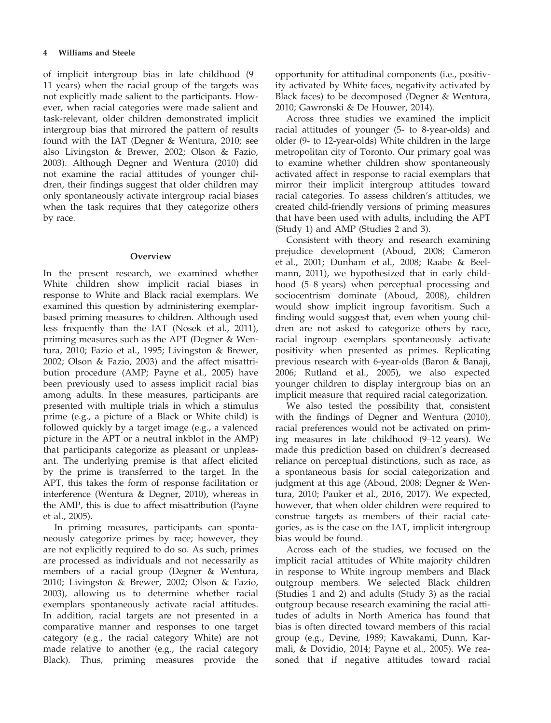of implicit intergroup bias in late childhood (9– 11 years) when the racial group of the targets was not explicitly made salient to the participants. However, when racial categories were made salient and task-relevant, older children demonstrated implicit intergroup bias that mirrored the pattern of results found with the IAT (Degner & Wentura, 2010; see also Livingston & Brewer, 2002; Olson & Fazio, 2003). Although Degner and Wentura (2010) did not examine the racial attitudes of younger children, their findings suggest that older children may only spontaneously activate intergroup racial biases when the task requires that they categorize others by race.

# **Overview**

In the present research, we examined whether White children show implicit racial biases in response to White and Black racial exemplars. We examined this question by administering exemplarbased priming measures to children. Although used less frequently than the IAT (Nosek et al., 2011), priming measures such as the APT (Degner & Wentura, 2010; Fazio et al., 1995; Livingston & Brewer, 2002; Olson & Fazio, 2003) and the affect misattribution procedure (AMP; Payne et al., 2005) have been previously used to assess implicit racial bias among adults. In these measures, participants are presented with multiple trials in which a stimulus prime (e.g., a picture of a Black or White child) is followed quickly by a target image (e.g., a valenced picture in the APT or a neutral inkblot in the AMP) that participants categorize as pleasant or unpleasant. The underlying premise is that affect elicited by the prime is transferred to the target. In the APT, this takes the form of response facilitation or interference (Wentura & Degner, 2010), whereas in the AMP, this is due to affect misattribution (Payne et al., 2005).

In priming measures, participants can spontaneously categorize primes by race; however, they are not explicitly required to do so. As such, primes are processed as individuals and not necessarily as members of a racial group (Degner & Wentura, 2010; Livingston & Brewer, 2002; Olson & Fazio, 2003), allowing us to determine whether racial exemplars spontaneously activate racial attitudes. In addition, racial targets are not presented in a comparative manner and responses to one target category (e.g., the racial category White) are not made relative to another (e.g., the racial category Black). Thus, priming measures provide the

opportunity for attitudinal components (i.e., positivity activated by White faces, negativity activated by Black faces) to be decomposed (Degner & Wentura, 2010; Gawronski & De Houwer, 2014).

Across three studies we examined the implicit racial attitudes of younger (5- to 8-year-olds) and older (9- to 12-year-olds) White children in the large metropolitan city of Toronto. Our primary goal was to examine whether children show spontaneously activated affect in response to racial exemplars that mirror their implicit intergroup attitudes toward racial categories. To assess children's attitudes, we created child-friendly versions of priming measures that have been used with adults, including the APT (Study 1) and AMP (Studies 2 and 3).

Consistent with theory and research examining prejudice development (Aboud, 2008; Cameron et al., 2001; Dunham et al., 2008; Raabe & Beelmann, 2011), we hypothesized that in early childhood (5–8 years) when perceptual processing and sociocentrism dominate (Aboud, 2008), children would show implicit ingroup favoritism. Such a finding would suggest that, even when young children are not asked to categorize others by race, racial ingroup exemplars spontaneously activate positivity when presented as primes. Replicating previous research with 6-year-olds (Baron & Banaji, 2006; Rutland et al., 2005), we also expected younger children to display intergroup bias on an implicit measure that required racial categorization.

We also tested the possibility that, consistent with the findings of Degner and Wentura (2010), racial preferences would not be activated on priming measures in late childhood (9–12 years). We made this prediction based on children's decreased reliance on perceptual distinctions, such as race, as a spontaneous basis for social categorization and judgment at this age (Aboud, 2008; Degner & Wentura, 2010; Pauker et al., 2016, 2017). We expected, however, that when older children were required to construe targets as members of their racial categories, as is the case on the IAT, implicit intergroup bias would be found.

Across each of the studies, we focused on the implicit racial attitudes of White majority children in response to White ingroup members and Black outgroup members. We selected Black children (Studies 1 and 2) and adults (Study 3) as the racial outgroup because research examining the racial attitudes of adults in North America has found that bias is often directed toward members of this racial group (e.g., Devine, 1989; Kawakami, Dunn, Karmali, & Dovidio, 2014; Payne et al., 2005). We reasoned that if negative attitudes toward racial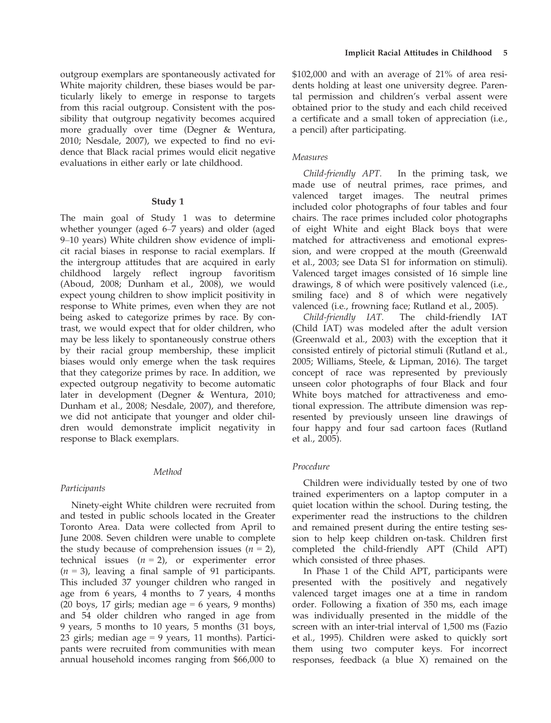outgroup exemplars are spontaneously activated for White majority children, these biases would be particularly likely to emerge in response to targets from this racial outgroup. Consistent with the possibility that outgroup negativity becomes acquired more gradually over time (Degner & Wentura, 2010; Nesdale, 2007), we expected to find no evidence that Black racial primes would elicit negative evaluations in either early or late childhood.

#### Study 1

The main goal of Study 1 was to determine whether younger (aged 6–7 years) and older (aged 9–10 years) White children show evidence of implicit racial biases in response to racial exemplars. If the intergroup attitudes that are acquired in early childhood largely reflect ingroup favoritism (Aboud, 2008; Dunham et al., 2008), we would expect young children to show implicit positivity in response to White primes, even when they are not being asked to categorize primes by race. By contrast, we would expect that for older children, who may be less likely to spontaneously construe others by their racial group membership, these implicit biases would only emerge when the task requires that they categorize primes by race. In addition, we expected outgroup negativity to become automatic later in development (Degner & Wentura, 2010; Dunham et al., 2008; Nesdale, 2007), and therefore, we did not anticipate that younger and older children would demonstrate implicit negativity in response to Black exemplars.

# Method

## Participants

Ninety-eight White children were recruited from and tested in public schools located in the Greater Toronto Area. Data were collected from April to June 2008. Seven children were unable to complete the study because of comprehension issues  $(n = 2)$ , technical issues  $(n = 2)$ , or experimenter error  $(n = 3)$ , leaving a final sample of 91 participants. This included 37 younger children who ranged in age from 6 years, 4 months to 7 years, 4 months (20 boys, 17 girls; median age  $= 6$  years, 9 months) and 54 older children who ranged in age from 9 years, 5 months to 10 years, 5 months (31 boys, 23 girls; median age = 9 years, 11 months). Participants were recruited from communities with mean annual household incomes ranging from \$66,000 to

\$102,000 and with an average of 21% of area residents holding at least one university degree. Parental permission and children's verbal assent were obtained prior to the study and each child received a certificate and a small token of appreciation (i.e., a pencil) after participating.

# Measures

Child-friendly APT. In the priming task, we made use of neutral primes, race primes, and valenced target images. The neutral primes included color photographs of four tables and four chairs. The race primes included color photographs of eight White and eight Black boys that were matched for attractiveness and emotional expression, and were cropped at the mouth (Greenwald et al., 2003; see Data S1 for information on stimuli). Valenced target images consisted of 16 simple line drawings, 8 of which were positively valenced (i.e., smiling face) and 8 of which were negatively valenced (i.e., frowning face; Rutland et al., 2005).

Child-friendly IAT. The child-friendly IAT (Child IAT) was modeled after the adult version (Greenwald et al., 2003) with the exception that it consisted entirely of pictorial stimuli (Rutland et al., 2005; Williams, Steele, & Lipman, 2016). The target concept of race was represented by previously unseen color photographs of four Black and four White boys matched for attractiveness and emotional expression. The attribute dimension was represented by previously unseen line drawings of four happy and four sad cartoon faces (Rutland et al., 2005).

## Procedure

Children were individually tested by one of two trained experimenters on a laptop computer in a quiet location within the school. During testing, the experimenter read the instructions to the children and remained present during the entire testing session to help keep children on-task. Children first completed the child-friendly APT (Child APT) which consisted of three phases.

In Phase 1 of the Child APT, participants were presented with the positively and negatively valenced target images one at a time in random order. Following a fixation of 350 ms, each image was individually presented in the middle of the screen with an inter-trial interval of 1,500 ms (Fazio et al., 1995). Children were asked to quickly sort them using two computer keys. For incorrect responses, feedback (a blue X) remained on the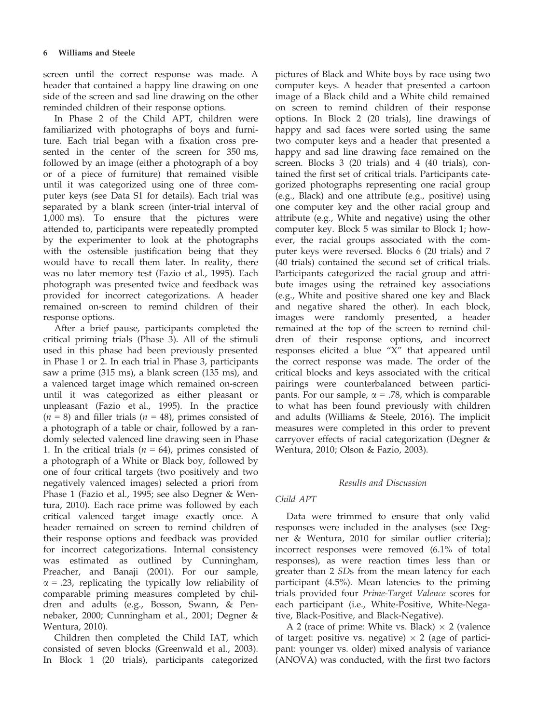screen until the correct response was made. A header that contained a happy line drawing on one side of the screen and sad line drawing on the other reminded children of their response options.

In Phase 2 of the Child APT, children were familiarized with photographs of boys and furniture. Each trial began with a fixation cross presented in the center of the screen for 350 ms, followed by an image (either a photograph of a boy or of a piece of furniture) that remained visible until it was categorized using one of three computer keys (see Data S1 for details). Each trial was separated by a blank screen (inter-trial interval of 1,000 ms). To ensure that the pictures were attended to, participants were repeatedly prompted by the experimenter to look at the photographs with the ostensible justification being that they would have to recall them later. In reality, there was no later memory test (Fazio et al., 1995). Each photograph was presented twice and feedback was provided for incorrect categorizations. A header remained on-screen to remind children of their response options.

After a brief pause, participants completed the critical priming trials (Phase 3). All of the stimuli used in this phase had been previously presented in Phase 1 or 2. In each trial in Phase 3, participants saw a prime (315 ms), a blank screen (135 ms), and a valenced target image which remained on-screen until it was categorized as either pleasant or unpleasant (Fazio et al., 1995). In the practice  $(n = 8)$  and filler trials  $(n = 48)$ , primes consisted of a photograph of a table or chair, followed by a randomly selected valenced line drawing seen in Phase 1. In the critical trials ( $n = 64$ ), primes consisted of a photograph of a White or Black boy, followed by one of four critical targets (two positively and two negatively valenced images) selected a priori from Phase 1 (Fazio et al., 1995; see also Degner & Wentura, 2010). Each race prime was followed by each critical valenced target image exactly once. A header remained on screen to remind children of their response options and feedback was provided for incorrect categorizations. Internal consistency was estimated as outlined by Cunningham, Preacher, and Banaji (2001). For our sample,  $\alpha$  = .23, replicating the typically low reliability of comparable priming measures completed by children and adults (e.g., Bosson, Swann, & Pennebaker, 2000; Cunningham et al., 2001; Degner & Wentura, 2010).

Children then completed the Child IAT, which consisted of seven blocks (Greenwald et al., 2003). In Block 1 (20 trials), participants categorized

pictures of Black and White boys by race using two computer keys. A header that presented a cartoon image of a Black child and a White child remained on screen to remind children of their response options. In Block 2 (20 trials), line drawings of happy and sad faces were sorted using the same two computer keys and a header that presented a happy and sad line drawing face remained on the screen. Blocks 3 (20 trials) and 4 (40 trials), contained the first set of critical trials. Participants categorized photographs representing one racial group (e.g., Black) and one attribute (e.g., positive) using one computer key and the other racial group and attribute (e.g., White and negative) using the other computer key. Block 5 was similar to Block 1; however, the racial groups associated with the computer keys were reversed. Blocks 6 (20 trials) and 7 (40 trials) contained the second set of critical trials. Participants categorized the racial group and attribute images using the retrained key associations (e.g., White and positive shared one key and Black and negative shared the other). In each block, images were randomly presented, a header remained at the top of the screen to remind children of their response options, and incorrect responses elicited a blue "X" that appeared until the correct response was made. The order of the critical blocks and keys associated with the critical pairings were counterbalanced between participants. For our sample,  $\alpha$  = .78, which is comparable to what has been found previously with children and adults (Williams & Steele, 2016). The implicit measures were completed in this order to prevent carryover effects of racial categorization (Degner & Wentura, 2010; Olson & Fazio, 2003).

# Results and Discussion

# Child APT

Data were trimmed to ensure that only valid responses were included in the analyses (see Degner & Wentura, 2010 for similar outlier criteria); incorrect responses were removed (6.1% of total responses), as were reaction times less than or greater than 2 SDs from the mean latency for each participant (4.5%). Mean latencies to the priming trials provided four Prime-Target Valence scores for each participant (i.e., White-Positive, White-Negative, Black-Positive, and Black-Negative).

A 2 (race of prime: White vs. Black)  $\times$  2 (valence of target: positive vs. negative)  $\times$  2 (age of participant: younger vs. older) mixed analysis of variance (ANOVA) was conducted, with the first two factors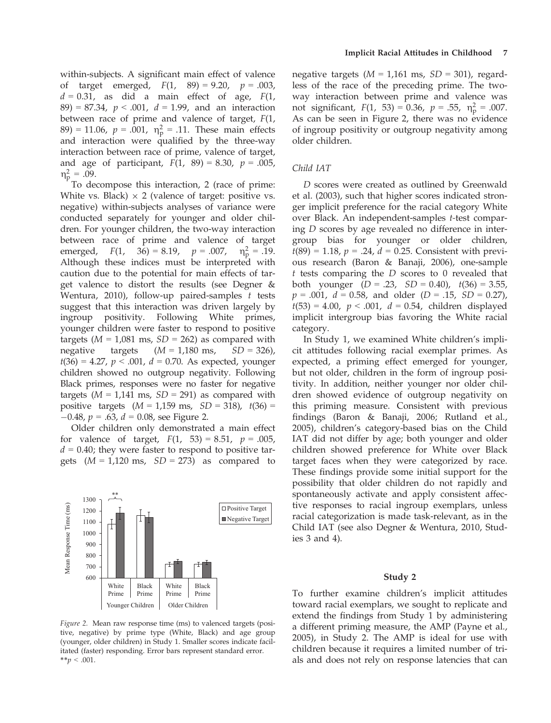within-subjects. A significant main effect of valence of target emerged,  $F(1, 89) = 9.20$ ,  $p = .003$ ,  $d = 0.31$ , as did a main effect of age,  $F(1)$ , 89) = 87.34,  $p < .001$ ,  $d = 1.99$ , and an interaction between race of prime and valence of target, F(1, 89) = 11.06,  $p = .001$ ,  $\eta_{\rm p}^2 = .11$ . These main effects and interaction were qualified by the three-way interaction between race of prime, valence of target, and age of participant,  $F(1, 89) = 8.30$ ,  $p = .005$ ,  $\eta_p^2 = .09.$ <br>To de

To decompose this interaction, 2 (race of prime: White vs. Black)  $\times$  2 (valence of target: positive vs. negative) within-subjects analyses of variance were conducted separately for younger and older children. For younger children, the two-way interaction between race of prime and valence of target emerged,  $F(1, 36) = 8.19$ ,  $p = .007$ ,  $\eta_{\rm p}^2 = .19$ . Although these indices must be interpreted with caution due to the potential for main effects of target valence to distort the results (see Degner & Wentura, 2010), follow-up paired-samples  $t$  tests suggest that this interaction was driven largely by ingroup positivity. Following White primes, younger children were faster to respond to positive targets ( $M = 1,081$  ms,  $SD = 262$ ) as compared with negative targets  $(M = 1,180 \text{ ms}, SD = 326)$ ,  $t(36) = 4.27$ ,  $p < .001$ ,  $d = 0.70$ . As expected, younger children showed no outgroup negativity. Following Black primes, responses were no faster for negative targets ( $M = 1,141$  ms,  $SD = 291$ ) as compared with positive targets  $(M = 1,159 \text{ ms}, SD = 318), t(36) =$  $-0.48$ ,  $p = .63$ ,  $d = 0.08$ , see Figure 2.

Older children only demonstrated a main effect for valence of target,  $F(1, 53) = 8.51$ ,  $p = .005$ ,  $d = 0.40$ ; they were faster to respond to positive targets  $(M = 1,120 \text{ ms}, SD = 273)$  as compared to



Figure 2. Mean raw response time (ms) to valenced targets (positive, negative) by prime type (White, Black) and age group (younger, older children) in Study 1. Smaller scores indicate facilitated (faster) responding. Error bars represent standard error. \*\* $p < .001$ .

negative targets  $(M = 1.161$  ms,  $SD = 301$ ), regardless of the race of the preceding prime. The twoway interaction between prime and valence was not significant,  $F(1, 53) = 0.36$ ,  $p = .55$ ,  $n_p^2 = .007$ .<br>As can be seen in Figure 2, there was no evidence As can be seen in Figure 2, there was no evidence of ingroup positivity or outgroup negativity among older children.

# Child IAT

D scores were created as outlined by Greenwald et al. (2003), such that higher scores indicated stronger implicit preference for the racial category White over Black. An independent-samples t-test comparing D scores by age revealed no difference in intergroup bias for younger or older children,  $t(89) = 1.18$ ,  $p = .24$ ,  $d = 0.25$ . Consistent with previous research (Baron & Banaji, 2006), one-sample  $t$  tests comparing the  $D$  scores to  $0$  revealed that both younger  $(D = .23, SD = 0.40), t(36) = 3.55,$  $p = .001$ ,  $d = 0.58$ , and older  $(D = .15, SD = 0.27)$ ,  $t(53) = 4.00$ ,  $p < .001$ ,  $d = 0.54$ , children displayed implicit intergroup bias favoring the White racial category.

In Study 1, we examined White children's implicit attitudes following racial exemplar primes. As expected, a priming effect emerged for younger, but not older, children in the form of ingroup positivity. In addition, neither younger nor older children showed evidence of outgroup negativity on this priming measure. Consistent with previous findings (Baron & Banaji, 2006; Rutland et al., 2005), children's category-based bias on the Child IAT did not differ by age; both younger and older children showed preference for White over Black target faces when they were categorized by race. These findings provide some initial support for the possibility that older children do not rapidly and spontaneously activate and apply consistent affective responses to racial ingroup exemplars, unless racial categorization is made task-relevant, as in the Child IAT (see also Degner & Wentura, 2010, Studies 3 and 4).

## Study 2

To further examine children's implicit attitudes toward racial exemplars, we sought to replicate and extend the findings from Study 1 by administering a different priming measure, the AMP (Payne et al., 2005), in Study 2. The AMP is ideal for use with children because it requires a limited number of trials and does not rely on response latencies that can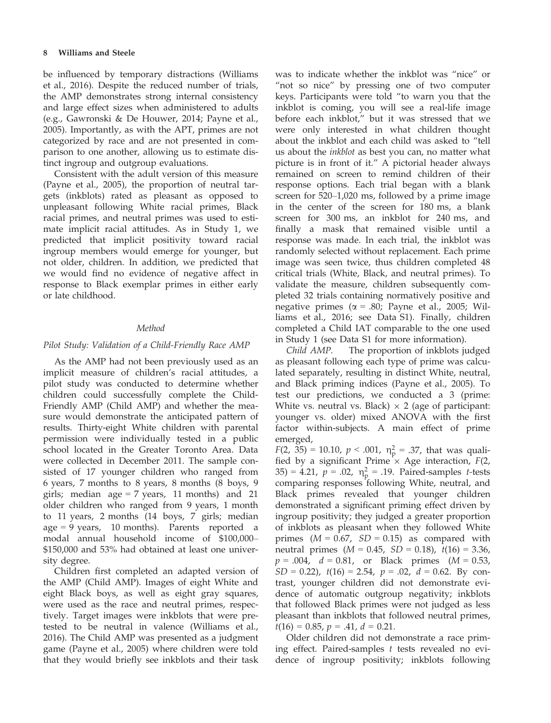be influenced by temporary distractions (Williams et al., 2016). Despite the reduced number of trials, the AMP demonstrates strong internal consistency and large effect sizes when administered to adults (e.g., Gawronski & De Houwer, 2014; Payne et al., 2005). Importantly, as with the APT, primes are not categorized by race and are not presented in comparison to one another, allowing us to estimate distinct ingroup and outgroup evaluations.

Consistent with the adult version of this measure (Payne et al., 2005), the proportion of neutral targets (inkblots) rated as pleasant as opposed to unpleasant following White racial primes, Black racial primes, and neutral primes was used to estimate implicit racial attitudes. As in Study 1, we predicted that implicit positivity toward racial ingroup members would emerge for younger, but not older, children. In addition, we predicted that we would find no evidence of negative affect in response to Black exemplar primes in either early or late childhood.

# Method

# Pilot Study: Validation of a Child-Friendly Race AMP

As the AMP had not been previously used as an implicit measure of children's racial attitudes, a pilot study was conducted to determine whether children could successfully complete the Child-Friendly AMP (Child AMP) and whether the measure would demonstrate the anticipated pattern of results. Thirty-eight White children with parental permission were individually tested in a public school located in the Greater Toronto Area. Data were collected in December 2011. The sample consisted of 17 younger children who ranged from 6 years, 7 months to 8 years, 8 months (8 boys, 9 girls; median  $age = 7 \text{ years}$ , 11 months) and 21 older children who ranged from 9 years, 1 month to 11 years, 2 months (14 boys, 7 girls; median age = 9 years, 10 months). Parents reported a modal annual household income of \$100,000– \$150,000 and 53% had obtained at least one university degree.

Children first completed an adapted version of the AMP (Child AMP). Images of eight White and eight Black boys, as well as eight gray squares, were used as the race and neutral primes, respectively. Target images were inkblots that were pretested to be neutral in valence (Williams et al., 2016). The Child AMP was presented as a judgment game (Payne et al., 2005) where children were told that they would briefly see inkblots and their task was to indicate whether the inkblot was "nice" or "not so nice" by pressing one of two computer keys. Participants were told "to warn you that the inkblot is coming, you will see a real-life image before each inkblot," but it was stressed that we were only interested in what children thought about the inkblot and each child was asked to "tell us about the inkblot as best you can, no matter what picture is in front of it." A pictorial header always remained on screen to remind children of their response options. Each trial began with a blank screen for 520–1,020 ms, followed by a prime image in the center of the screen for 180 ms, a blank screen for 300 ms, an inkblot for 240 ms, and finally a mask that remained visible until a response was made. In each trial, the inkblot was randomly selected without replacement. Each prime image was seen twice, thus children completed 48 critical trials (White, Black, and neutral primes). To validate the measure, children subsequently completed 32 trials containing normatively positive and negative primes ( $\alpha$  = .80; Payne et al., 2005; Williams et al., 2016; see Data S1). Finally, children completed a Child IAT comparable to the one used in Study 1 (see Data S1 for more information).

Child AMP. The proportion of inkblots judged as pleasant following each type of prime was calculated separately, resulting in distinct White, neutral, and Black priming indices (Payne et al., 2005). To test our predictions, we conducted a 3 (prime: White vs. neutral vs. Black)  $\times$  2 (age of participant: younger vs. older) mixed ANOVA with the first factor within-subjects. A main effect of prime emerged,

 $F(2, 35) = 10.10, p < .001, \eta_{\rm p}^2 = .37$ , that was quali-<br>fied by a significant Prime  $\times$  Age interaction  $F(2, 35)$ fied by a significant Prime  $\times$  Age interaction, F(2,  $(35) = 4.21$ ,  $p = .02$ ,  $\eta_p^2 = .19$ . Paired-samples *t*-tests comparing responses following White, neutral, and Black primes revealed that younger children demonstrated a significant priming effect driven by ingroup positivity; they judged a greater proportion of inkblots as pleasant when they followed White primes  $(M = 0.67, SD = 0.15)$  as compared with neutral primes ( $M = 0.45$ ,  $SD = 0.18$ ),  $t(16) = 3.36$ ,  $p = .004$ ,  $d = 0.81$ , or Black primes (M = 0.53,  $SD = 0.22$ ,  $t(16) = 2.54$ ,  $p = .02$ ,  $d = 0.62$ . By contrast, younger children did not demonstrate evidence of automatic outgroup negativity; inkblots that followed Black primes were not judged as less pleasant than inkblots that followed neutral primes,  $t(16) = 0.85$ ,  $p = .41$ ,  $d = 0.21$ .

Older children did not demonstrate a race priming effect. Paired-samples  $t$  tests revealed no evidence of ingroup positivity; inkblots following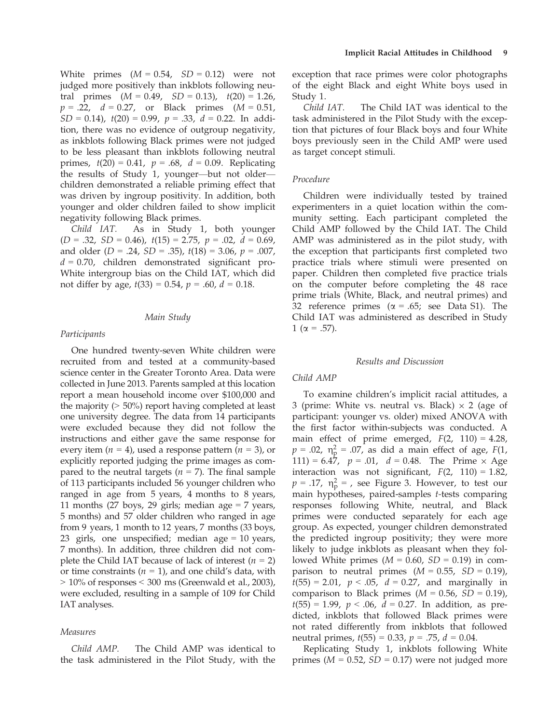White primes  $(M = 0.54, SD = 0.12)$  were not judged more positively than inkblots following neutral primes  $(M = 0.49, SD = 0.13), t(20) = 1.26,$  $p = .22$ ,  $d = 0.27$ , or Black primes  $(M = 0.51)$ ,  $SD = 0.14$ ,  $t(20) = 0.99$ ,  $p = .33$ ,  $d = 0.22$ . In addition, there was no evidence of outgroup negativity, as inkblots following Black primes were not judged to be less pleasant than inkblots following neutral primes,  $t(20) = 0.41$ ,  $p = .68$ ,  $d = 0.09$ . Replicating the results of Study 1, younger—but not older children demonstrated a reliable priming effect that was driven by ingroup positivity. In addition, both younger and older children failed to show implicit negativity following Black primes.

Child IAT. As in Study 1, both younger  $(D = .32, SD = 0.46), t(15) = 2.75, p = .02, d = 0.69,$ and older  $(D = .24, SD = .35)$ ,  $t(18) = 3.06$ ,  $p = .007$ ,  $d = 0.70$ , children demonstrated significant pro-White intergroup bias on the Child IAT, which did not differ by age,  $t(33) = 0.54$ ,  $p = .60$ ,  $d = 0.18$ .

#### Main Study

## Participants

One hundred twenty-seven White children were recruited from and tested at a community-based science center in the Greater Toronto Area. Data were collected in June 2013. Parents sampled at this location report a mean household income over \$100,000 and the majority (> 50%) report having completed at least one university degree. The data from 14 participants were excluded because they did not follow the instructions and either gave the same response for every item  $(n = 4)$ , used a response pattern  $(n = 3)$ , or explicitly reported judging the prime images as compared to the neutral targets ( $n = 7$ ). The final sample of 113 participants included 56 younger children who ranged in age from 5 years, 4 months to 8 years, 11 months (27 boys, 29 girls; median age  $= 7$  years, 5 months) and 57 older children who ranged in age from 9 years, 1 month to 12 years, 7 months (33 boys, 23 girls, one unspecified; median age = 10 years, 7 months). In addition, three children did not complete the Child IAT because of lack of interest  $(n = 2)$ or time constraints ( $n = 1$ ), and one child's data, with  $> 10\%$  of responses  $< 300$  ms (Greenwald et al., 2003), were excluded, resulting in a sample of 109 for Child IAT analyses.

# Measures

Child AMP. The Child AMP was identical to the task administered in the Pilot Study, with the exception that race primes were color photographs of the eight Black and eight White boys used in Study 1.

Child IAT. The Child IAT was identical to the task administered in the Pilot Study with the exception that pictures of four Black boys and four White boys previously seen in the Child AMP were used as target concept stimuli.

# Procedure

Children were individually tested by trained experimenters in a quiet location within the community setting. Each participant completed the Child AMP followed by the Child IAT. The Child AMP was administered as in the pilot study, with the exception that participants first completed two practice trials where stimuli were presented on paper. Children then completed five practice trials on the computer before completing the 48 race prime trials (White, Black, and neutral primes) and 32 reference primes ( $\alpha = .65$ ; see Data S1). The Child IAT was administered as described in Study 1 ( $\alpha = .57$ ).

#### Results and Discussion

## Child AMP

To examine children's implicit racial attitudes, a 3 (prime: White vs. neutral vs. Black)  $\times$  2 (age of participant: younger vs. older) mixed ANOVA with the first factor within-subjects was conducted. A main effect of prime emerged,  $F(2, 110) = 4.28$ ,  $p = .02$ ,  $\eta_{\text{p}}^2 = .07$ , as did a main effect of age,  $F(1, 111) = 6.47$   $n = .01$   $d = 0.48$  The Prime  $\times$  Age 111) = 6.47,  $p = .01$ ,  $d = 0.48$ . The Prime  $\times$  Age interaction was not significant,  $F(2, 110) = 1.82$ ,  $p = .17$ ,  $\eta_p^2 =$ , see Figure 3. However, to test our main bypotheses paired-samples t-tests comparing main hypotheses, paired-samples t-tests comparing responses following White, neutral, and Black primes were conducted separately for each age group. As expected, younger children demonstrated the predicted ingroup positivity; they were more likely to judge inkblots as pleasant when they followed White primes ( $M = 0.60$ ,  $SD = 0.19$ ) in comparison to neutral primes  $(M = 0.55, SD = 0.19)$ ,  $t(55) = 2.01$ ,  $p < .05$ ,  $d = 0.27$ , and marginally in comparison to Black primes  $(M = 0.56, SD = 0.19)$ ,  $t(55) = 1.99$ ,  $p < .06$ ,  $d = 0.27$ . In addition, as predicted, inkblots that followed Black primes were not rated differently from inkblots that followed neutral primes,  $t(55) = 0.33$ ,  $p = .75$ ,  $d = 0.04$ .

Replicating Study 1, inkblots following White primes ( $M = 0.52$ ,  $SD = 0.17$ ) were not judged more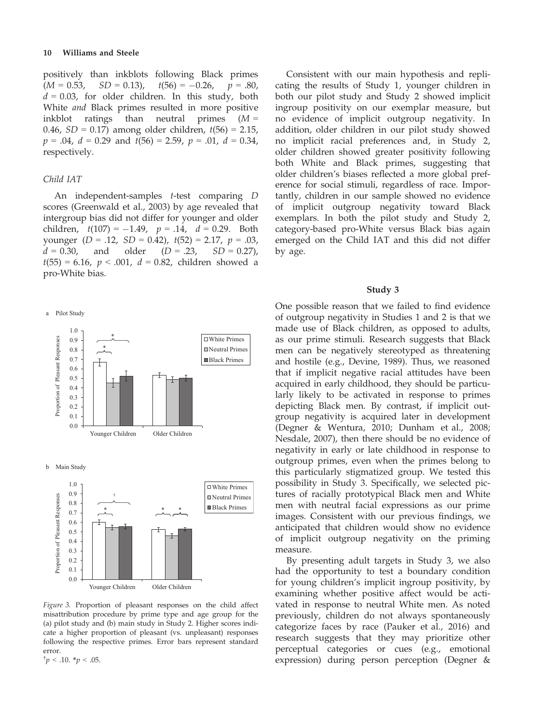positively than inkblots following Black primes  $(M = 0.53, SD = 0.13), t(56) = -0.26, p = .80,$  $d = 0.03$ , for older children. In this study, both White and Black primes resulted in more positive inkblot ratings than neutral primes  $(M =$ 0.46,  $SD = 0.17$ ) among older children,  $t(56) = 2.15$ ,  $p = .04$ ,  $d = 0.29$  and  $t(56) = 2.59$ ,  $p = .01$ ,  $d = 0.34$ , respectively.

## Child IAT

An independent-samples t-test comparing D scores (Greenwald et al., 2003) by age revealed that intergroup bias did not differ for younger and older children,  $t(107) = -1.49$ ,  $p = .14$ ,  $d = 0.29$ . Both younger  $(D = .12, SD = 0.42), t(52) = 2.17, p = .03,$  $d = 0.30$ , and older  $(D = .23, SD = 0.27)$ ,  $t(55) = 6.16$ ,  $p < .001$ ,  $d = 0.82$ , children showed a pro-White bias.





Figure 3. Proportion of pleasant responses on the child affect misattribution procedure by prime type and age group for the (a) pilot study and (b) main study in Study 2. Higher scores indicate a higher proportion of pleasant (vs. unpleasant) responses following the respective primes. Error bars represent standard error.  $\dagger p < .10. \dagger p < .05.$ 

Consistent with our main hypothesis and replicating the results of Study 1, younger children in both our pilot study and Study 2 showed implicit ingroup positivity on our exemplar measure, but no evidence of implicit outgroup negativity. In addition, older children in our pilot study showed no implicit racial preferences and, in Study 2, older children showed greater positivity following both White and Black primes, suggesting that older children's biases reflected a more global preference for social stimuli, regardless of race. Importantly, children in our sample showed no evidence of implicit outgroup negativity toward Black exemplars. In both the pilot study and Study 2, category-based pro-White versus Black bias again emerged on the Child IAT and this did not differ by age.

#### Study 3

One possible reason that we failed to find evidence of outgroup negativity in Studies 1 and 2 is that we made use of Black children, as opposed to adults, as our prime stimuli. Research suggests that Black men can be negatively stereotyped as threatening and hostile (e.g., Devine, 1989). Thus, we reasoned that if implicit negative racial attitudes have been acquired in early childhood, they should be particularly likely to be activated in response to primes depicting Black men. By contrast, if implicit outgroup negativity is acquired later in development (Degner & Wentura, 2010; Dunham et al., 2008; Nesdale, 2007), then there should be no evidence of negativity in early or late childhood in response to outgroup primes, even when the primes belong to this particularly stigmatized group. We tested this possibility in Study 3. Specifically, we selected pictures of racially prototypical Black men and White men with neutral facial expressions as our prime images. Consistent with our previous findings, we anticipated that children would show no evidence of implicit outgroup negativity on the priming measure.

By presenting adult targets in Study 3, we also had the opportunity to test a boundary condition for young children's implicit ingroup positivity, by examining whether positive affect would be activated in response to neutral White men. As noted previously, children do not always spontaneously categorize faces by race (Pauker et al., 2016) and research suggests that they may prioritize other perceptual categories or cues (e.g., emotional expression) during person perception (Degner &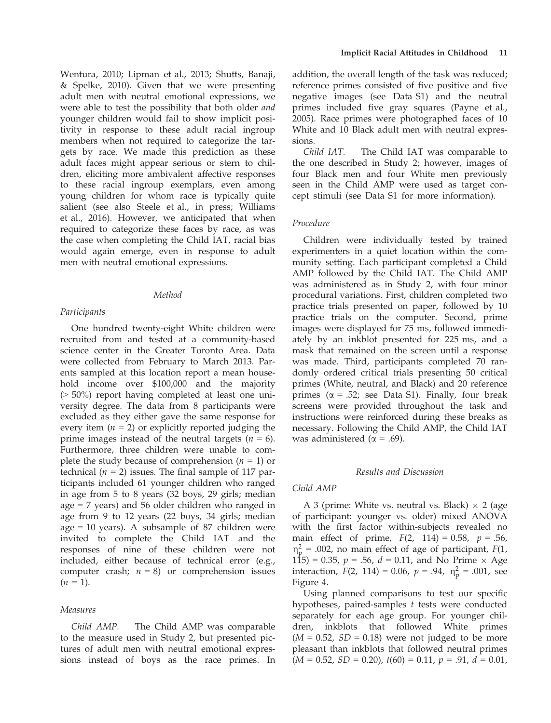Wentura, 2010; Lipman et al., 2013; Shutts, Banaji, & Spelke, 2010). Given that we were presenting adult men with neutral emotional expressions, we were able to test the possibility that both older and younger children would fail to show implicit positivity in response to these adult racial ingroup members when not required to categorize the targets by race. We made this prediction as these adult faces might appear serious or stern to children, eliciting more ambivalent affective responses to these racial ingroup exemplars, even among young children for whom race is typically quite salient (see also Steele et al., in press; Williams et al., 2016). However, we anticipated that when required to categorize these faces by race, as was the case when completing the Child IAT, racial bias would again emerge, even in response to adult men with neutral emotional expressions.

## Method

## Participants

One hundred twenty-eight White children were recruited from and tested at a community-based science center in the Greater Toronto Area. Data were collected from February to March 2013. Parents sampled at this location report a mean household income over \$100,000 and the majority (> 50%) report having completed at least one university degree. The data from 8 participants were excluded as they either gave the same response for every item  $(n = 2)$  or explicitly reported judging the prime images instead of the neutral targets ( $n = 6$ ). Furthermore, three children were unable to complete the study because of comprehension ( $n = 1$ ) or technical ( $n = 2$ ) issues. The final sample of 117 participants included 61 younger children who ranged in age from 5 to 8 years (32 boys, 29 girls; median age = 7 years) and 56 older children who ranged in age from 9 to 12 years (22 boys, 34 girls; median age  $= 10$  years). A subsample of 87 children were invited to complete the Child IAT and the responses of nine of these children were not included, either because of technical error (e.g., computer crash;  $n = 8$ ) or comprehension issues  $(n = 1)$ .

# Measures

Child AMP. The Child AMP was comparable to the measure used in Study 2, but presented pictures of adult men with neutral emotional expressions instead of boys as the race primes. In

addition, the overall length of the task was reduced; reference primes consisted of five positive and five negative images (see Data S1) and the neutral primes included five gray squares (Payne et al., 2005). Race primes were photographed faces of 10 White and 10 Black adult men with neutral expressions.

Child IAT. The Child IAT was comparable to the one described in Study 2; however, images of four Black men and four White men previously seen in the Child AMP were used as target concept stimuli (see Data S1 for more information).

# Procedure

Children were individually tested by trained experimenters in a quiet location within the community setting. Each participant completed a Child AMP followed by the Child IAT. The Child AMP was administered as in Study 2, with four minor procedural variations. First, children completed two practice trials presented on paper, followed by 10 practice trials on the computer. Second, prime images were displayed for 75 ms, followed immediately by an inkblot presented for 225 ms, and a mask that remained on the screen until a response was made. Third, participants completed 70 randomly ordered critical trials presenting 50 critical primes (White, neutral, and Black) and 20 reference primes ( $\alpha$  = .52; see Data S1). Finally, four break screens were provided throughout the task and instructions were reinforced during these breaks as necessary. Following the Child AMP, the Child IAT was administered ( $\alpha$  = .69).

# Results and Discussion

## Child AMP

A 3 (prime: White vs. neutral vs. Black)  $\times$  2 (age of participant: younger vs. older) mixed ANOVA with the first factor within-subjects revealed no main effect of prime,  $F(2, 114) = 0.58$ ,  $p = .56$ ,  $\eta_p^2$  = .002, no main effect of age of participant,  $F(1, 1, 5) = 0.35$   $n = 56$   $d = 0.11$  and No Prime  $\times$  Age 115) = 0.35,  $p = .56$ ,  $d = 0.11$ , and No Prime  $\times$  Age interaction,  $F(2, 114) = 0.06$ ,  $p = .94$ ,  $\eta_{\rm p}^2 = .001$ , see Figure 4.

Using planned comparisons to test our specific hypotheses, paired-samples  $t$  tests were conducted separately for each age group. For younger children, inkblots that followed White primes  $(M = 0.52, SD = 0.18)$  were not judged to be more pleasant than inkblots that followed neutral primes  $(M = 0.52, SD = 0.20), t(60) = 0.11, p = .91, d = 0.01,$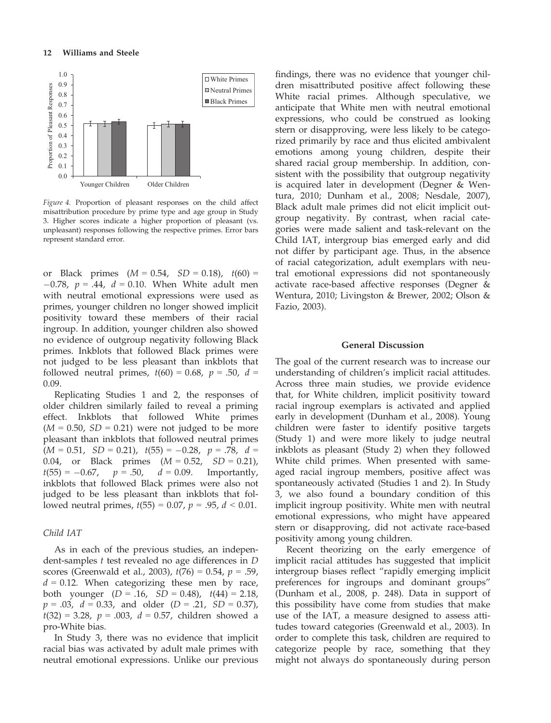

Figure 4. Proportion of pleasant responses on the child affect misattribution procedure by prime type and age group in Study 3. Higher scores indicate a higher proportion of pleasant (vs. unpleasant) responses following the respective primes. Error bars represent standard error.

or Black primes  $(M = 0.54, SD = 0.18), t(60) =$  $-0.78$ ,  $p = .44$ ,  $d = 0.10$ . When White adult men with neutral emotional expressions were used as primes, younger children no longer showed implicit positivity toward these members of their racial ingroup. In addition, younger children also showed no evidence of outgroup negativity following Black primes. Inkblots that followed Black primes were not judged to be less pleasant than inkblots that followed neutral primes,  $t(60) = 0.68$ ,  $p = .50$ ,  $d =$ 0.09.

Replicating Studies 1 and 2, the responses of older children similarly failed to reveal a priming effect. Inkblots that followed White primes  $(M = 0.50, SD = 0.21)$  were not judged to be more pleasant than inkblots that followed neutral primes  $(M = 0.51, SD = 0.21), t(55) = -0.28, p = .78, d = 0.04,$  or Black primes  $(M = 0.52, SD = 0.21),$ 0.04, or Black primes  $(M = 0.52, t(55) = -0.67, p = .50, d = 0.09.$  $t(55) = -0.67$ ,  $p = .50$ ,  $d = 0.09$ . Importantly, inkblots that followed Black primes were also not judged to be less pleasant than inkblots that followed neutral primes,  $t(55) = 0.07$ ,  $p = .95$ ,  $d < 0.01$ .

# Child IAT

As in each of the previous studies, an independent-samples  $t$  test revealed no age differences in  $D$ scores (Greenwald et al., 2003),  $t(76) = 0.54$ ,  $p = .59$ ,  $d = 0.12$ . When categorizing these men by race, both younger  $(D = .16, SD = 0.48), t(44) = 2.18,$  $p = .03$ ,  $d = 0.33$ , and older  $(D = .21, SD = 0.37)$ ,  $t(32) = 3.28$ ,  $p = .003$ ,  $d = 0.57$ , children showed a pro-White bias.

In Study 3, there was no evidence that implicit racial bias was activated by adult male primes with neutral emotional expressions. Unlike our previous findings, there was no evidence that younger children misattributed positive affect following these White racial primes. Although speculative, we anticipate that White men with neutral emotional expressions, who could be construed as looking stern or disapproving, were less likely to be categorized primarily by race and thus elicited ambivalent emotions among young children, despite their shared racial group membership. In addition, consistent with the possibility that outgroup negativity is acquired later in development (Degner & Wentura, 2010; Dunham et al., 2008; Nesdale, 2007), Black adult male primes did not elicit implicit outgroup negativity. By contrast, when racial categories were made salient and task-relevant on the Child IAT, intergroup bias emerged early and did not differ by participant age. Thus, in the absence of racial categorization, adult exemplars with neutral emotional expressions did not spontaneously activate race-based affective responses (Degner & Wentura, 2010; Livingston & Brewer, 2002; Olson & Fazio, 2003).

# General Discussion

The goal of the current research was to increase our understanding of children's implicit racial attitudes. Across three main studies, we provide evidence that, for White children, implicit positivity toward racial ingroup exemplars is activated and applied early in development (Dunham et al., 2008). Young children were faster to identify positive targets (Study 1) and were more likely to judge neutral inkblots as pleasant (Study 2) when they followed White child primes. When presented with sameaged racial ingroup members, positive affect was spontaneously activated (Studies 1 and 2). In Study 3, we also found a boundary condition of this implicit ingroup positivity. White men with neutral emotional expressions, who might have appeared stern or disapproving, did not activate race-based positivity among young children.

Recent theorizing on the early emergence of implicit racial attitudes has suggested that implicit intergroup biases reflect "rapidly emerging implicit preferences for ingroups and dominant groups" (Dunham et al., 2008, p. 248). Data in support of this possibility have come from studies that make use of the IAT, a measure designed to assess attitudes toward categories (Greenwald et al., 2003). In order to complete this task, children are required to categorize people by race, something that they might not always do spontaneously during person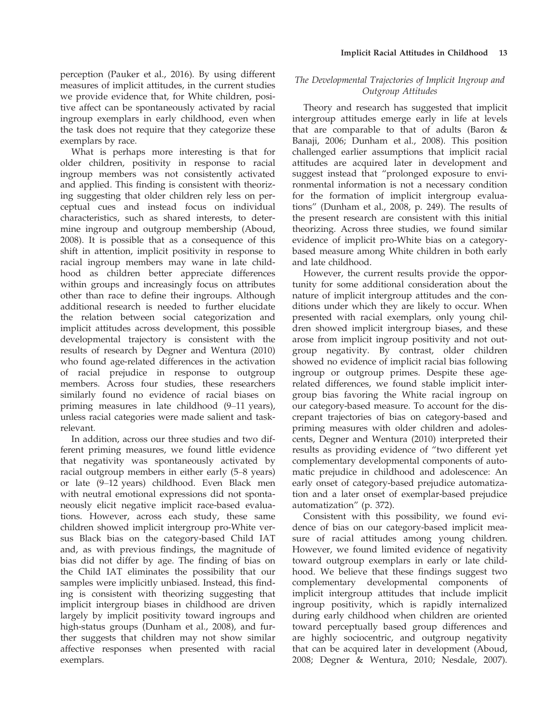perception (Pauker et al., 2016). By using different measures of implicit attitudes, in the current studies we provide evidence that, for White children, positive affect can be spontaneously activated by racial ingroup exemplars in early childhood, even when the task does not require that they categorize these exemplars by race.

What is perhaps more interesting is that for older children, positivity in response to racial ingroup members was not consistently activated and applied. This finding is consistent with theorizing suggesting that older children rely less on perceptual cues and instead focus on individual characteristics, such as shared interests, to determine ingroup and outgroup membership (Aboud, 2008). It is possible that as a consequence of this shift in attention, implicit positivity in response to racial ingroup members may wane in late childhood as children better appreciate differences within groups and increasingly focus on attributes other than race to define their ingroups. Although additional research is needed to further elucidate the relation between social categorization and implicit attitudes across development, this possible developmental trajectory is consistent with the results of research by Degner and Wentura (2010) who found age-related differences in the activation of racial prejudice in response to outgroup members. Across four studies, these researchers similarly found no evidence of racial biases on priming measures in late childhood (9–11 years), unless racial categories were made salient and taskrelevant.

In addition, across our three studies and two different priming measures, we found little evidence that negativity was spontaneously activated by racial outgroup members in either early (5–8 years) or late (9–12 years) childhood. Even Black men with neutral emotional expressions did not spontaneously elicit negative implicit race-based evaluations. However, across each study, these same children showed implicit intergroup pro-White versus Black bias on the category-based Child IAT and, as with previous findings, the magnitude of bias did not differ by age. The finding of bias on the Child IAT eliminates the possibility that our samples were implicitly unbiased. Instead, this finding is consistent with theorizing suggesting that implicit intergroup biases in childhood are driven largely by implicit positivity toward ingroups and high-status groups (Dunham et al., 2008), and further suggests that children may not show similar affective responses when presented with racial exemplars.

# The Developmental Trajectories of Implicit Ingroup and Outgroup Attitudes

Theory and research has suggested that implicit intergroup attitudes emerge early in life at levels that are comparable to that of adults (Baron & Banaji, 2006; Dunham et al., 2008). This position challenged earlier assumptions that implicit racial attitudes are acquired later in development and suggest instead that "prolonged exposure to environmental information is not a necessary condition for the formation of implicit intergroup evaluations" (Dunham et al., 2008, p. 249). The results of the present research are consistent with this initial theorizing. Across three studies, we found similar evidence of implicit pro-White bias on a categorybased measure among White children in both early and late childhood.

However, the current results provide the opportunity for some additional consideration about the nature of implicit intergroup attitudes and the conditions under which they are likely to occur. When presented with racial exemplars, only young children showed implicit intergroup biases, and these arose from implicit ingroup positivity and not outgroup negativity. By contrast, older children showed no evidence of implicit racial bias following ingroup or outgroup primes. Despite these agerelated differences, we found stable implicit intergroup bias favoring the White racial ingroup on our category-based measure. To account for the discrepant trajectories of bias on category-based and priming measures with older children and adolescents, Degner and Wentura (2010) interpreted their results as providing evidence of "two different yet complementary developmental components of automatic prejudice in childhood and adolescence: An early onset of category-based prejudice automatization and a later onset of exemplar-based prejudice automatization" (p. 372).

Consistent with this possibility, we found evidence of bias on our category-based implicit measure of racial attitudes among young children. However, we found limited evidence of negativity toward outgroup exemplars in early or late childhood. We believe that these findings suggest two complementary developmental components of implicit intergroup attitudes that include implicit ingroup positivity, which is rapidly internalized during early childhood when children are oriented toward perceptually based group differences and are highly sociocentric, and outgroup negativity that can be acquired later in development (Aboud, 2008; Degner & Wentura, 2010; Nesdale, 2007).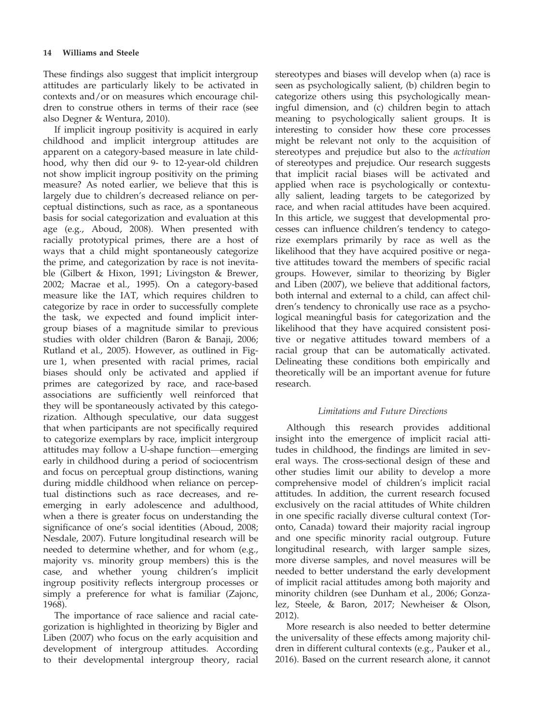These findings also suggest that implicit intergroup attitudes are particularly likely to be activated in contexts and/or on measures which encourage children to construe others in terms of their race (see also Degner & Wentura, 2010).

If implicit ingroup positivity is acquired in early childhood and implicit intergroup attitudes are apparent on a category-based measure in late childhood, why then did our 9- to 12-year-old children not show implicit ingroup positivity on the priming measure? As noted earlier, we believe that this is largely due to children's decreased reliance on perceptual distinctions, such as race, as a spontaneous basis for social categorization and evaluation at this age (e.g., Aboud, 2008). When presented with racially prototypical primes, there are a host of ways that a child might spontaneously categorize the prime, and categorization by race is not inevitable (Gilbert & Hixon, 1991; Livingston & Brewer, 2002; Macrae et al., 1995). On a category-based measure like the IAT, which requires children to categorize by race in order to successfully complete the task, we expected and found implicit intergroup biases of a magnitude similar to previous studies with older children (Baron & Banaji, 2006; Rutland et al., 2005). However, as outlined in Figure 1, when presented with racial primes, racial biases should only be activated and applied if primes are categorized by race, and race-based associations are sufficiently well reinforced that they will be spontaneously activated by this categorization. Although speculative, our data suggest that when participants are not specifically required to categorize exemplars by race, implicit intergroup attitudes may follow a U-shape function—emerging early in childhood during a period of sociocentrism and focus on perceptual group distinctions, waning during middle childhood when reliance on perceptual distinctions such as race decreases, and reemerging in early adolescence and adulthood, when a there is greater focus on understanding the significance of one's social identities (Aboud, 2008; Nesdale, 2007). Future longitudinal research will be needed to determine whether, and for whom (e.g., majority vs. minority group members) this is the case, and whether young children's implicit ingroup positivity reflects intergroup processes or simply a preference for what is familiar (Zajonc, 1968).

The importance of race salience and racial categorization is highlighted in theorizing by Bigler and Liben (2007) who focus on the early acquisition and development of intergroup attitudes. According to their developmental intergroup theory, racial

stereotypes and biases will develop when (a) race is seen as psychologically salient, (b) children begin to categorize others using this psychologically meaningful dimension, and (c) children begin to attach meaning to psychologically salient groups. It is interesting to consider how these core processes might be relevant not only to the acquisition of stereotypes and prejudice but also to the activation of stereotypes and prejudice. Our research suggests that implicit racial biases will be activated and applied when race is psychologically or contextually salient, leading targets to be categorized by race, and when racial attitudes have been acquired. In this article, we suggest that developmental processes can influence children's tendency to categorize exemplars primarily by race as well as the likelihood that they have acquired positive or negative attitudes toward the members of specific racial groups. However, similar to theorizing by Bigler and Liben (2007), we believe that additional factors, both internal and external to a child, can affect children's tendency to chronically use race as a psychological meaningful basis for categorization and the likelihood that they have acquired consistent positive or negative attitudes toward members of a racial group that can be automatically activated. Delineating these conditions both empirically and theoretically will be an important avenue for future research.

# Limitations and Future Directions

Although this research provides additional insight into the emergence of implicit racial attitudes in childhood, the findings are limited in several ways. The cross-sectional design of these and other studies limit our ability to develop a more comprehensive model of children's implicit racial attitudes. In addition, the current research focused exclusively on the racial attitudes of White children in one specific racially diverse cultural context (Toronto, Canada) toward their majority racial ingroup and one specific minority racial outgroup. Future longitudinal research, with larger sample sizes, more diverse samples, and novel measures will be needed to better understand the early development of implicit racial attitudes among both majority and minority children (see Dunham et al., 2006; Gonzalez, Steele, & Baron, 2017; Newheiser & Olson, 2012).

More research is also needed to better determine the universality of these effects among majority children in different cultural contexts (e.g., Pauker et al., 2016). Based on the current research alone, it cannot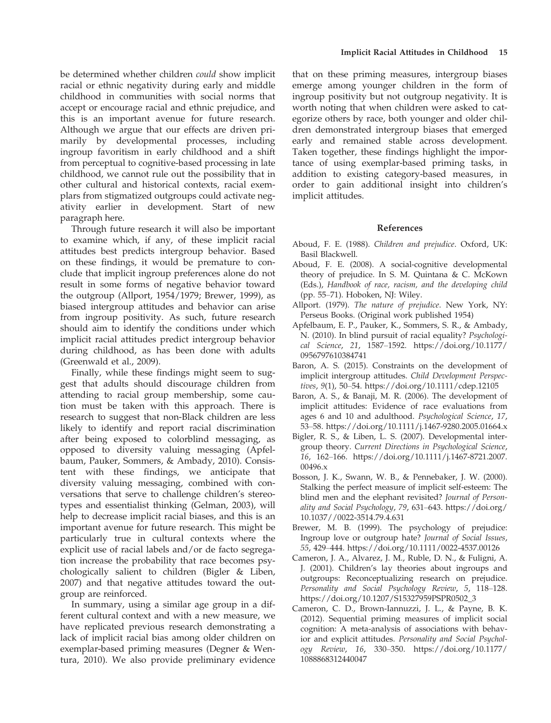be determined whether children could show implicit racial or ethnic negativity during early and middle childhood in communities with social norms that accept or encourage racial and ethnic prejudice, and this is an important avenue for future research. Although we argue that our effects are driven primarily by developmental processes, including ingroup favoritism in early childhood and a shift from perceptual to cognitive-based processing in late childhood, we cannot rule out the possibility that in other cultural and historical contexts, racial exemplars from stigmatized outgroups could activate negativity earlier in development. Start of new paragraph here.

Through future research it will also be important to examine which, if any, of these implicit racial attitudes best predicts intergroup behavior. Based on these findings, it would be premature to conclude that implicit ingroup preferences alone do not result in some forms of negative behavior toward the outgroup (Allport, 1954/1979; Brewer, 1999), as biased intergroup attitudes and behavior can arise from ingroup positivity. As such, future research should aim to identify the conditions under which implicit racial attitudes predict intergroup behavior during childhood, as has been done with adults (Greenwald et al., 2009).

Finally, while these findings might seem to suggest that adults should discourage children from attending to racial group membership, some caution must be taken with this approach. There is research to suggest that non-Black children are less likely to identify and report racial discrimination after being exposed to colorblind messaging, as opposed to diversity valuing messaging (Apfelbaum, Pauker, Sommers, & Ambady, 2010). Consistent with these findings, we anticipate that diversity valuing messaging, combined with conversations that serve to challenge children's stereotypes and essentialist thinking (Gelman, 2003), will help to decrease implicit racial biases, and this is an important avenue for future research. This might be particularly true in cultural contexts where the explicit use of racial labels and/or de facto segregation increase the probability that race becomes psychologically salient to children (Bigler & Liben, 2007) and that negative attitudes toward the outgroup are reinforced.

In summary, using a similar age group in a different cultural context and with a new measure, we have replicated previous research demonstrating a lack of implicit racial bias among older children on exemplar-based priming measures (Degner & Wentura, 2010). We also provide preliminary evidence

that on these priming measures, intergroup biases emerge among younger children in the form of ingroup positivity but not outgroup negativity. It is worth noting that when children were asked to categorize others by race, both younger and older children demonstrated intergroup biases that emerged early and remained stable across development. Taken together, these findings highlight the importance of using exemplar-based priming tasks, in addition to existing category-based measures, in order to gain additional insight into children's implicit attitudes.

## References

- Aboud, F. E. (1988). Children and prejudice. Oxford, UK: Basil Blackwell.
- Aboud, F. E. (2008). A social-cognitive developmental theory of prejudice. In S. M. Quintana & C. McKown (Eds.), Handbook of race, racism, and the developing child (pp. 55–71). Hoboken, NJ: Wiley.
- Allport. (1979). The nature of prejudice. New York, NY: Perseus Books. (Original work published 1954)
- Apfelbaum, E. P., Pauker, K., Sommers, S. R., & Ambady, N. (2010). In blind pursuit of racial equality? Psychological Science, 21, 1587–1592. [https://doi.org/10.1177/](https://doi.org/10.1177/0956797610384741) [0956797610384741](https://doi.org/10.1177/0956797610384741)
- Baron, A. S. (2015). Constraints on the development of implicit intergroup attitudes. Child Development Perspectives, 9(1), 50–54.<https://doi.org/10.1111/cdep.12105>
- Baron, A. S., & Banaji, M. R. (2006). The development of implicit attitudes: Evidence of race evaluations from ages 6 and 10 and adulthood. Psychological Science, 17, 53–58.<https://doi.org/10.1111/j.1467-9280.2005.01664.x>
- Bigler, R. S., & Liben, L. S. (2007). Developmental intergroup theory. Current Directions in Psychological Science, 16, 162–166. [https://doi.org/10.1111/j.1467-8721.2007.](https://doi.org/10.1111/j.1467-8721.2007.00496.x) [00496.x](https://doi.org/10.1111/j.1467-8721.2007.00496.x)
- Bosson, J. K., Swann, W. B., & Pennebaker, J. W. (2000). Stalking the perfect measure of implicit self-esteem: The blind men and the elephant revisited? Journal of Personality and Social Psychology, 79, 631–643. [https://doi.org/](https://doi.org/10.1037//0022-3514.79.4.631) [10.1037//0022-3514.79.4.631](https://doi.org/10.1037//0022-3514.79.4.631)
- Brewer, M. B. (1999). The psychology of prejudice: Ingroup love or outgroup hate? Journal of Social Issues, 55, 429–444.<https://doi.org/10.1111/0022-4537.00126>
- Cameron, J. A., Alvarez, J. M., Ruble, D. N., & Fuligni, A. J. (2001). Children's lay theories about ingroups and outgroups: Reconceptualizing research on prejudice. Personality and Social Psychology Review, 5, 118–128. [https://doi.org/10.1207/S15327959PSPR0502\\_3](https://doi.org/10.1207/S15327959PSPR0502_3)
- Cameron, C. D., Brown-Iannuzzi, J. L., & Payne, B. K. (2012). Sequential priming measures of implicit social cognition: A meta-analysis of associations with behavior and explicit attitudes. Personality and Social Psychology Review, 16, 330–350. [https://doi.org/10.1177/](https://doi.org/10.1177/1088868312440047) [1088868312440047](https://doi.org/10.1177/1088868312440047)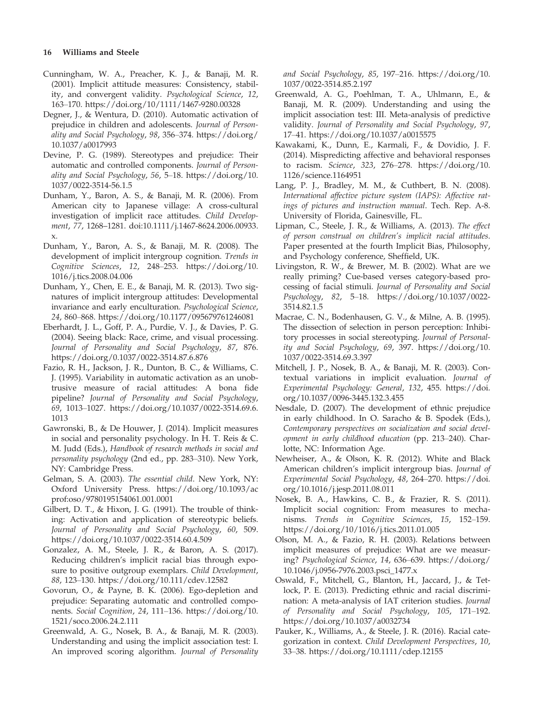## 16 Williams and Steele

- Cunningham, W. A., Preacher, K. J., & Banaji, M. R. (2001). Implicit attitude measures: Consistency, stability, and convergent validity. Psychological Science, 12, 163–170.<https://doi.org/10/1111/1467-9280.00328>
- Degner, J., & Wentura, D. (2010). Automatic activation of prejudice in children and adolescents. Journal of Personality and Social Psychology, 98, 356–374. [https://doi.org/](https://doi.org/10.1037/a0017993) [10.1037/a0017993](https://doi.org/10.1037/a0017993)
- Devine, P. G. (1989). Stereotypes and prejudice: Their automatic and controlled components. Journal of Personality and Social Psychology, 56, 5–18. [https://doi.org/10.](https://doi.org/10.1037/0022-3514-56.1.5) [1037/0022-3514-56.1.5](https://doi.org/10.1037/0022-3514-56.1.5)
- Dunham, Y., Baron, A. S., & Banaji, M. R. (2006). From American city to Japanese village: A cross-cultural investigation of implicit race attitudes. Child Development, 77, 1268–1281. doi:[10.1111/j.1467-8624.2006.00933.](https://doi.org/10.1111/j.1467-8624.2006.00933.x) [x](https://doi.org/10.1111/j.1467-8624.2006.00933.x).
- Dunham, Y., Baron, A. S., & Banaji, M. R. (2008). The development of implicit intergroup cognition. Trends in Cognitive Sciences, 12, 248–253. [https://doi.org/10.](https://doi.org/10.1016/j.tics.2008.04.006) [1016/j.tics.2008.04.006](https://doi.org/10.1016/j.tics.2008.04.006)
- Dunham, Y., Chen, E. E., & Banaji, M. R. (2013). Two signatures of implicit intergroup attitudes: Developmental invariance and early enculturation. Psychological Science, 24, 860–868.<https://doi.org/10.1177/095679761246081>
- Eberhardt, J. L., Goff, P. A., Purdie, V. J., & Davies, P. G. (2004). Seeing black: Race, crime, and visual processing. Journal of Personality and Social Psychology, 87, 876. <https://doi.org/0.1037/0022-3514.87.6.876>
- Fazio, R. H., Jackson, J. R., Dunton, B. C., & Williams, C. J. (1995). Variability in automatic activation as an unobtrusive measure of racial attitudes: A bona fide pipeline? Journal of Personality and Social Psychology, 69, 1013–1027. [https://doi.org/10.1037/0022-3514.69.6.](https://doi.org/10.1037/0022-3514.69.6.1013) [1013](https://doi.org/10.1037/0022-3514.69.6.1013)
- Gawronski, B., & De Houwer, J. (2014). Implicit measures in social and personality psychology. In H. T. Reis & C. M. Judd (Eds.), Handbook of research methods in social and personality psychology (2nd ed., pp. 283–310). New York, NY: Cambridge Press.
- Gelman, S. A. (2003). The essential child. New York, NY: Oxford University Press. [https://doi.org/10.1093/ac](https://doi.org/10.1093/acprof:oso/9780195154061.001.0001) [prof:oso/9780195154061.001.0001](https://doi.org/10.1093/acprof:oso/9780195154061.001.0001)
- Gilbert, D. T., & Hixon, J. G. (1991). The trouble of thinking: Activation and application of stereotypic beliefs. Journal of Personality and Social Psychology, 60, 509. <https://doi.org/10.1037/0022-3514.60.4.509>
- Gonzalez, A. M., Steele, J. R., & Baron, A. S. (2017). Reducing children's implicit racial bias through exposure to positive outgroup exemplars. Child Development, 88, 123–130.<https://doi.org/10.111/cdev.12582>
- Govorun, O., & Payne, B. K. (2006). Ego-depletion and prejudice: Separating automatic and controlled components. Social Cognition, 24, 111–136. [https://doi.org/10.](https://doi.org/10.1521/soco.2006.24.2.111) [1521/soco.2006.24.2.111](https://doi.org/10.1521/soco.2006.24.2.111)
- Greenwald, A. G., Nosek, B. A., & Banaji, M. R. (2003). Understanding and using the implicit association test: I. An improved scoring algorithm. Journal of Personality

and Social Psychology, 85, 197–216. [https://doi.org/10.](https://doi.org/10.1037/0022-3514.85.2.197) [1037/0022-3514.85.2.197](https://doi.org/10.1037/0022-3514.85.2.197)

- Greenwald, A. G., Poehlman, T. A., Uhlmann, E., & Banaji, M. R. (2009). Understanding and using the implicit association test: III. Meta-analysis of predictive validity. Journal of Personality and Social Psychology, 97, 17–41.<https://doi.org/10.1037/a0015575>
- Kawakami, K., Dunn, E., Karmali, F., & Dovidio, J. F. (2014). Mispredicting affective and behavioral responses to racism. Science, 323, 276–278. [https://doi.org/10.](https://doi.org/10.1126/science.1164951) [1126/science.1164951](https://doi.org/10.1126/science.1164951)
- Lang, P. J., Bradley, M. M., & Cuthbert, B. N. (2008). International affective picture system (IAPS): Affective ratings of pictures and instruction manual. Tech. Rep. A-8. University of Florida, Gainesville, FL.
- Lipman, C., Steele, J. R., & Williams, A. (2013). The effect of person construal on children's implicit racial attitudes. Paper presented at the fourth Implicit Bias, Philosophy, and Psychology conference, Sheffield, UK.
- Livingston, R. W., & Brewer, M. B. (2002). What are we really priming? Cue-based verses category-based processing of facial stimuli. Journal of Personality and Social Psychology, 82, 5–18. [https://doi.org/10.1037/0022-](https://doi.org/10.1037/0022-3514.82.1.5) [3514.82.1.5](https://doi.org/10.1037/0022-3514.82.1.5)
- Macrae, C. N., Bodenhausen, G. V., & Milne, A. B. (1995). The dissection of selection in person perception: Inhibitory processes in social stereotyping. Journal of Personality and Social Psychology, 69, 397. [https://doi.org/10.](https://doi.org/10.1037/0022-3514.69.3.397) [1037/0022-3514.69.3.397](https://doi.org/10.1037/0022-3514.69.3.397)
- Mitchell, J. P., Nosek, B. A., & Banaji, M. R. (2003). Contextual variations in implicit evaluation. Journal of Experimental Psychology: General, 132, 455. [https://doi.](https://doi.org/10.1037/0096-3445.132.3.455) [org/10.1037/0096-3445.132.3.455](https://doi.org/10.1037/0096-3445.132.3.455)
- Nesdale, D. (2007). The development of ethnic prejudice in early childhood. In O. Saracho & B. Spodek (Eds.), Contemporary perspectives on socialization and social development in early childhood education (pp. 213–240). Charlotte, NC: Information Age.
- Newheiser, A., & Olson, K. R. (2012). White and Black American children's implicit intergroup bias. Journal of Experimental Social Psychology, 48, 264–270. [https://doi.](https://doi.org/10.1016/j.jesp.2011.08.011) [org/10.1016/j.jesp.2011.08.011](https://doi.org/10.1016/j.jesp.2011.08.011)
- Nosek, B. A., Hawkins, C. B., & Frazier, R. S. (2011). Implicit social cognition: From measures to mechanisms. Trends in Cognitive Sciences, 15, 152–159. <https://doi.org/10/1016/j.tics.2011.01.005>
- Olson, M. A., & Fazio, R. H. (2003). Relations between implicit measures of prejudice: What are we measuring? Psychological Science, 14, 636–639. [https://doi.org/](https://doi.org/10.1046/j.0956-7976.2003.psci_1477.x) [10.1046/j.0956-7976.2003.psci\\_1477.x](https://doi.org/10.1046/j.0956-7976.2003.psci_1477.x)
- Oswald, F., Mitchell, G., Blanton, H., Jaccard, J., & Tetlock, P. E. (2013). Predicting ethnic and racial discrimination: A meta-analysis of IAT criterion studies. Journal of Personality and Social Psychology, 105, 171–192. <https://doi.org/10.1037/a0032734>
- Pauker, K., Williams, A., & Steele, J. R. (2016). Racial categorization in context. Child Development Perspectives, 10, 33–38.<https://doi.org/10.1111/cdep.12155>